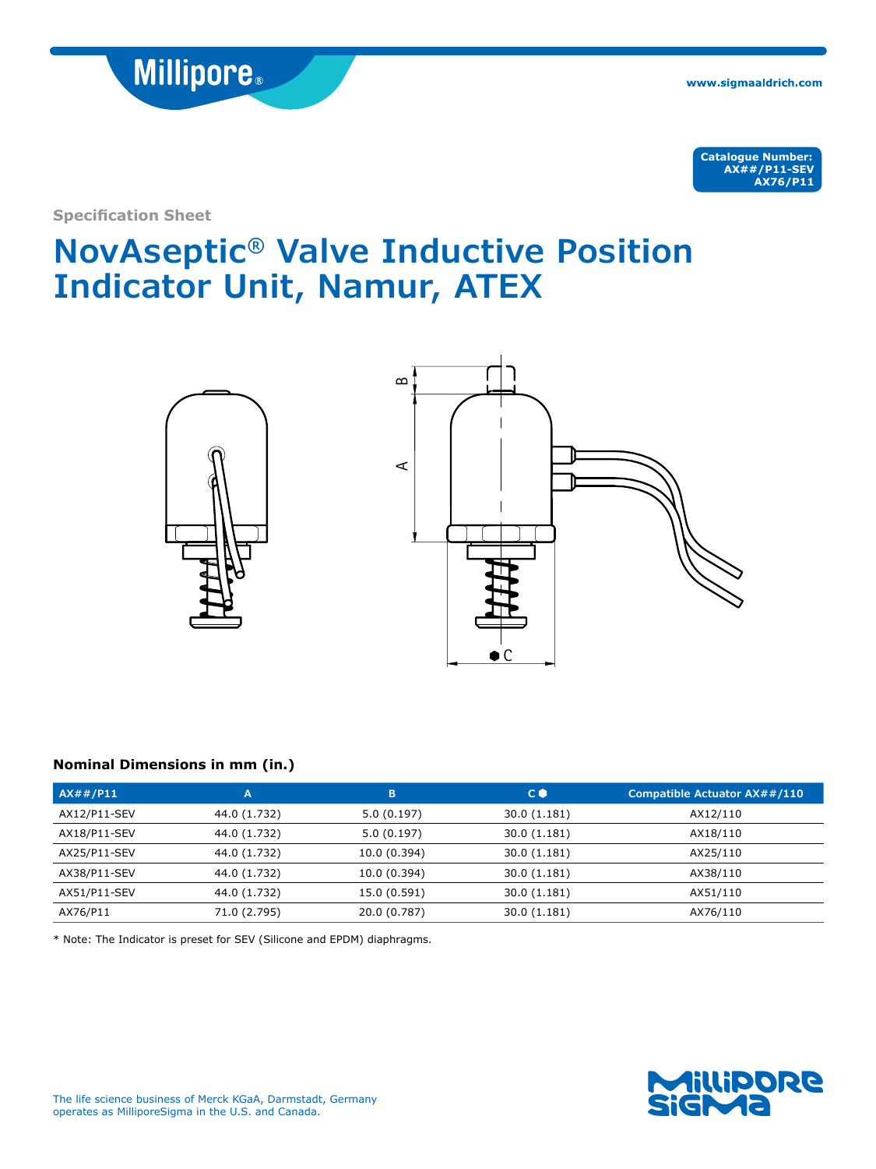

www.sigmaaldrich.com

**Catalogue Number: AX##/P11-SEV AX76/P11**

**Specification Sheet**

# **NovAseptic® Valve Inductive Position Indicator Unit, Namur, ATEX**



# **Nominal Dimensions in mm (in.)**

| $AX\#/\mathsf{P11}$ | A            | B            | $C$ $\bullet$ | Compatible Actuator AX##/110 |
|---------------------|--------------|--------------|---------------|------------------------------|
| AX12/P11-SEV        | 44.0 (1.732) | 5.0(0.197)   | 30.0 (1.181)  | AX12/110                     |
| AX18/P11-SEV        | 44.0 (1.732) | 5.0(0.197)   | 30.0 (1.181)  | AX18/110                     |
| AX25/P11-SEV        | 44.0 (1.732) | 10.0 (0.394) | 30.0 (1.181)  | AX25/110                     |
| AX38/P11-SEV        | 44.0 (1.732) | 10.0 (0.394) | 30.0 (1.181)  | AX38/110                     |
| AX51/P11-SEV        | 44.0 (1.732) | 15.0 (0.591) | 30.0 (1.181)  | AX51/110                     |
| AX76/P11            | 71.0 (2.795) | 20.0 (0.787) | 30.0 (1.181)  | AX76/110                     |

\* Note: The Indicator is preset for SEV (Silicone and EPDM) diaphragms.